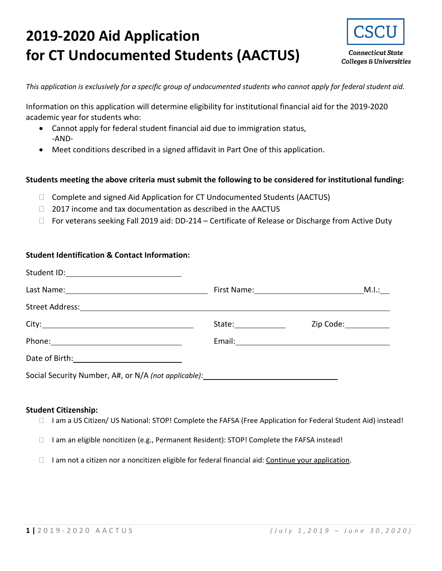# **2019-2020 Aid Application for CT Undocumented Students (AACTUS)**



**Connecticut State Colleges & Universities** 

*This application is exclusively for a specific group of undocumented students who cannot apply for federal student aid.*

Information on this application will determine eligibility for institutional financial aid for the 2019-2020 academic year for students who:

- Cannot apply for federal student financial aid due to immigration status, -AND-
- Meet conditions described in a signed affidavit in Part One of this application.

#### **Students meeting the above criteria must submit the following to be considered for institutional funding:**

- $\Box$  Complete and signed Aid Application for CT Undocumented Students (AACTUS)
- $\Box$  2017 income and tax documentation as described in the AACTUS
- □ For veterans seeking Fall 2019 aid: DD-214 Certificate of Release or Discharge from Active Duty

### **Student Identification & Contact Information:**

| Student ID: 2000 Contract During Contract District On the United Students District On the United Students District |                     |                        |
|--------------------------------------------------------------------------------------------------------------------|---------------------|------------------------|
|                                                                                                                    |                     |                        |
|                                                                                                                    |                     |                        |
|                                                                                                                    | State:_____________ | Zip Code: ____________ |
| Phone: 2008 2010 2010 2010 2010 2011 2021 2022 2023 2024 2022 2023 2024 2022 2023 2024 2022 2023 2024 2025 20      |                     |                        |
| Date of Birth: 2008 2010 2020 2021                                                                                 |                     |                        |
| Social Security Number, A#, or N/A (not applicable): Social Security Number, A#, or N/A (not applicable):          |                     |                        |

#### **Student Citizenship:**

- □ I am a US Citizen/ US National: STOP! Complete the FAFSA (Free Application for Federal Student Aid) instead!
- $\Box$  I am an eligible noncitizen (e.g., Permanent Resident): STOP! Complete the FAFSA instead!
- $\Box$  I am not a citizen nor a noncitizen eligible for federal financial aid: Continue your application.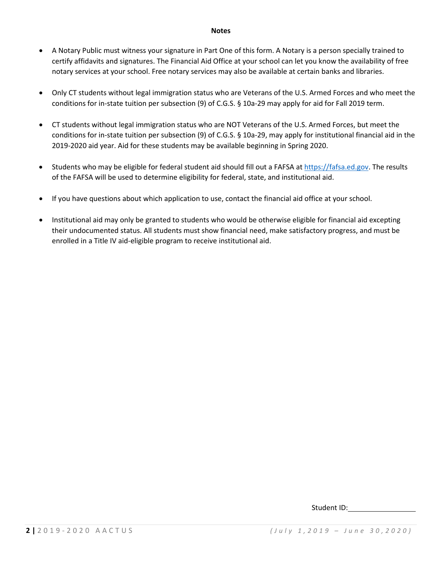#### **Notes**

- A Notary Public must witness your signature in Part One of this form. A Notary is a person specially trained to certify affidavits and signatures. The Financial Aid Office at your school can let you know the availability of free notary services at your school. Free notary services may also be available at certain banks and libraries.
- Only CT students without legal immigration status who are Veterans of the U.S. Armed Forces and who meet the conditions for in-state tuition per subsection (9) of C.G.S. § 10a-29 may apply for aid for Fall 2019 term.
- CT students without legal immigration status who are NOT Veterans of the U.S. Armed Forces, but meet the conditions for in-state tuition per subsection (9) of C.G.S. § 10a-29, may apply for institutional financial aid in the 2019-2020 aid year. Aid for these students may be available beginning in Spring 2020.
- Students who may be eligible for federal student aid should fill out a FAFSA a[t https://fafsa.ed.gov.](https://fafsa.ed.gov/) The results of the FAFSA will be used to determine eligibility for federal, state, and institutional aid.
- If you have questions about which application to use, contact the financial aid office at your school.
- Institutional aid may only be granted to students who would be otherwise eligible for financial aid excepting their undocumented status. All students must show financial need, make satisfactory progress, and must be enrolled in a Title IV aid-eligible program to receive institutional aid.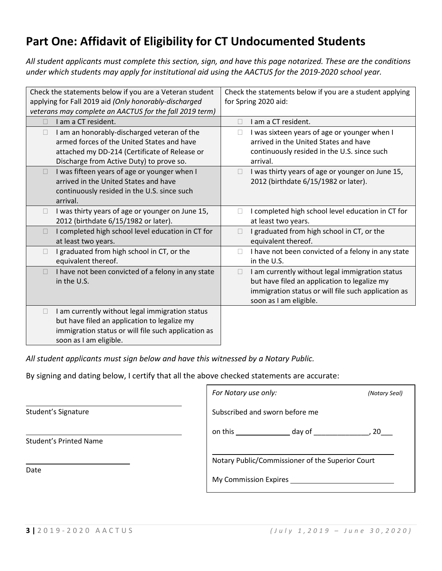# **Part One: Affidavit of Eligibility for CT Undocumented Students**

*All student applicants must complete this section, sign, and have this page notarized. These are the conditions under which students may apply for institutional aid using the AACTUS for the 2019-2020 school year.*

| Check the statements below if you are a student applying<br>Check the statements below if you are a Veteran student<br>applying for Fall 2019 aid (Only honorably-discharged<br>for Spring 2020 aid:<br>veterans may complete an AACTUS for the fall 2019 term) |                                                                                                                                                                                       |
|-----------------------------------------------------------------------------------------------------------------------------------------------------------------------------------------------------------------------------------------------------------------|---------------------------------------------------------------------------------------------------------------------------------------------------------------------------------------|
| I am a CT resident.                                                                                                                                                                                                                                             | I am a CT resident.<br>П                                                                                                                                                              |
| I am an honorably-discharged veteran of the<br>armed forces of the United States and have<br>attached my DD-214 (Certificate of Release or<br>Discharge from Active Duty) to prove so.                                                                          | I was sixteen years of age or younger when I<br>П<br>arrived in the United States and have<br>continuously resided in the U.S. since such<br>arrival.                                 |
| I was fifteen years of age or younger when I<br>$\Box$<br>arrived in the United States and have<br>continuously resided in the U.S. since such<br>arrival.                                                                                                      | I was thirty years of age or younger on June 15,<br>П<br>2012 (birthdate 6/15/1982 or later).                                                                                         |
| I was thirty years of age or younger on June 15,<br>$\Box$<br>2012 (birthdate 6/15/1982 or later).                                                                                                                                                              | I completed high school level education in CT for<br>$\Box$<br>at least two years.                                                                                                    |
| I completed high school level education in CT for<br>at least two years.                                                                                                                                                                                        | I graduated from high school in CT, or the<br>equivalent thereof.                                                                                                                     |
| I graduated from high school in CT, or the<br>$\Box$<br>equivalent thereof.                                                                                                                                                                                     | I have not been convicted of a felony in any state<br>□<br>in the U.S.                                                                                                                |
| I have not been convicted of a felony in any state<br>in the U.S.                                                                                                                                                                                               | I am currently without legal immigration status<br>П<br>but have filed an application to legalize my<br>immigration status or will file such application as<br>soon as I am eligible. |
| I am currently without legal immigration status<br>but have filed an application to legalize my<br>immigration status or will file such application as<br>soon as I am eligible.                                                                                |                                                                                                                                                                                       |

*All student applicants must sign below and have this witnessed by a Notary Public.*

By signing and dating below, I certify that all the above checked statements are accurate:

|                               | For Notary use only:                                                                                                                             | (Notary Seal) |
|-------------------------------|--------------------------------------------------------------------------------------------------------------------------------------------------|---------------|
| Student's Signature           | Subscribed and sworn before me                                                                                                                   |               |
| <b>Student's Printed Name</b> | on this $\qquad \qquad \qquad$<br>day of the control of the control of the control of the control of the control of the control of the control o | <b>20</b>     |
| Date                          | Notary Public/Commissioner of the Superior Court<br>My Commission Expires                                                                        |               |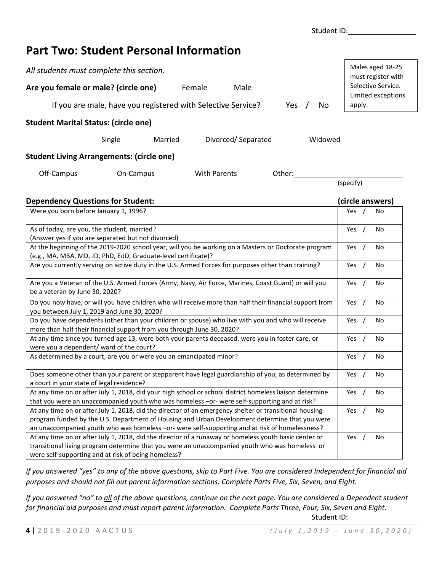### **Part Two: Student Personal Information**

| Males aged 18-25<br>must register with<br>Selective Service.<br>Are you female or male? (circle one)<br>Female<br>Male<br>Limited exceptions<br>If you are male, have you registered with Selective Service?<br>apply.<br>Yes<br>No<br><b>Student Marital Status: (circle one)</b><br>Single<br>Divorced/Separated<br>Widowed<br>Married<br><b>Student Living Arrangements: (circle one)</b><br>Off-Campus<br>On-Campus<br><b>With Parents</b><br>Other:<br>(specify)<br>(circle answers)<br><b>Dependency Questions for Student:</b><br>Were you born before January 1, 1996?<br>Yes<br>No<br>As of today, are you, the student, married?<br>Yes<br>No<br>(Answer yes if you are separated but not divorced)<br>At the beginning of the 2019-2020 school year, will you be working on a Masters or Doctorate program<br>Yes<br>No<br>(e.g., MA, MBA, MD, JD, PhD, EdD, Graduate-level certificate)?<br>Are you currently serving on active duty in the U.S. Armed Forces for purposes other than training?<br>Yes $/$<br>No<br>Are you a Veteran of the U.S. Armed Forces (Army, Navy, Air Force, Marines, Coast Guard) or will you<br>Yes<br>No<br>be a veteran by June 30, 2020?<br>Do you now have, or will you have children who will receive more than half their financial support from<br>Yes<br>No<br>you between July 1, 2019 and June 30, 2020?<br>Do you have dependents (other than your children or spouse) who live with you and who will receive<br>Yes<br>No<br>more than half their financial support from you through June 30, 2020?<br>At any time since you turned age 13, were both your parents deceased, were you in foster care, or<br>Yes<br>No<br>were you a dependent/ ward of the court?<br>As determined by a court, are you or were you an emancipated minor?<br>Yes $/$<br>No<br>Does someone other than your parent or stepparent have legal guardianship of you, as determined by<br>Yes<br>No<br>a court in your state of legal residence?<br>At any time on or after July 1, 2018, did your high school or school district homeless liaison determine<br>Yes<br>No<br>that you were an unaccompanied youth who was homeless -or- were self-supporting and at risk?<br>At any time on or after July 1, 2018, did the director of an emergency shelter or transitional housing<br>Yes $/$<br>No<br>program funded by the U.S. Department of Housing and Urban Development determine that you were<br>an unaccompanied youth who was homeless -or- were self-supporting and at risk of homelessness?<br>At any time on or after July 1, 2018, did the director of a runaway or homeless youth basic center or<br>No<br>Yes |                                                                                                |  |
|-------------------------------------------------------------------------------------------------------------------------------------------------------------------------------------------------------------------------------------------------------------------------------------------------------------------------------------------------------------------------------------------------------------------------------------------------------------------------------------------------------------------------------------------------------------------------------------------------------------------------------------------------------------------------------------------------------------------------------------------------------------------------------------------------------------------------------------------------------------------------------------------------------------------------------------------------------------------------------------------------------------------------------------------------------------------------------------------------------------------------------------------------------------------------------------------------------------------------------------------------------------------------------------------------------------------------------------------------------------------------------------------------------------------------------------------------------------------------------------------------------------------------------------------------------------------------------------------------------------------------------------------------------------------------------------------------------------------------------------------------------------------------------------------------------------------------------------------------------------------------------------------------------------------------------------------------------------------------------------------------------------------------------------------------------------------------------------------------------------------------------------------------------------------------------------------------------------------------------------------------------------------------------------------------------------------------------------------------------------------------------------------------------------------------------------------------------------------------------------------------------------------------------------------------------------------------------------------------------------------------------------------------------------|------------------------------------------------------------------------------------------------|--|
|                                                                                                                                                                                                                                                                                                                                                                                                                                                                                                                                                                                                                                                                                                                                                                                                                                                                                                                                                                                                                                                                                                                                                                                                                                                                                                                                                                                                                                                                                                                                                                                                                                                                                                                                                                                                                                                                                                                                                                                                                                                                                                                                                                                                                                                                                                                                                                                                                                                                                                                                                                                                                                                             | All students must complete this section.                                                       |  |
|                                                                                                                                                                                                                                                                                                                                                                                                                                                                                                                                                                                                                                                                                                                                                                                                                                                                                                                                                                                                                                                                                                                                                                                                                                                                                                                                                                                                                                                                                                                                                                                                                                                                                                                                                                                                                                                                                                                                                                                                                                                                                                                                                                                                                                                                                                                                                                                                                                                                                                                                                                                                                                                             |                                                                                                |  |
|                                                                                                                                                                                                                                                                                                                                                                                                                                                                                                                                                                                                                                                                                                                                                                                                                                                                                                                                                                                                                                                                                                                                                                                                                                                                                                                                                                                                                                                                                                                                                                                                                                                                                                                                                                                                                                                                                                                                                                                                                                                                                                                                                                                                                                                                                                                                                                                                                                                                                                                                                                                                                                                             |                                                                                                |  |
|                                                                                                                                                                                                                                                                                                                                                                                                                                                                                                                                                                                                                                                                                                                                                                                                                                                                                                                                                                                                                                                                                                                                                                                                                                                                                                                                                                                                                                                                                                                                                                                                                                                                                                                                                                                                                                                                                                                                                                                                                                                                                                                                                                                                                                                                                                                                                                                                                                                                                                                                                                                                                                                             |                                                                                                |  |
|                                                                                                                                                                                                                                                                                                                                                                                                                                                                                                                                                                                                                                                                                                                                                                                                                                                                                                                                                                                                                                                                                                                                                                                                                                                                                                                                                                                                                                                                                                                                                                                                                                                                                                                                                                                                                                                                                                                                                                                                                                                                                                                                                                                                                                                                                                                                                                                                                                                                                                                                                                                                                                                             |                                                                                                |  |
|                                                                                                                                                                                                                                                                                                                                                                                                                                                                                                                                                                                                                                                                                                                                                                                                                                                                                                                                                                                                                                                                                                                                                                                                                                                                                                                                                                                                                                                                                                                                                                                                                                                                                                                                                                                                                                                                                                                                                                                                                                                                                                                                                                                                                                                                                                                                                                                                                                                                                                                                                                                                                                                             |                                                                                                |  |
|                                                                                                                                                                                                                                                                                                                                                                                                                                                                                                                                                                                                                                                                                                                                                                                                                                                                                                                                                                                                                                                                                                                                                                                                                                                                                                                                                                                                                                                                                                                                                                                                                                                                                                                                                                                                                                                                                                                                                                                                                                                                                                                                                                                                                                                                                                                                                                                                                                                                                                                                                                                                                                                             |                                                                                                |  |
|                                                                                                                                                                                                                                                                                                                                                                                                                                                                                                                                                                                                                                                                                                                                                                                                                                                                                                                                                                                                                                                                                                                                                                                                                                                                                                                                                                                                                                                                                                                                                                                                                                                                                                                                                                                                                                                                                                                                                                                                                                                                                                                                                                                                                                                                                                                                                                                                                                                                                                                                                                                                                                                             |                                                                                                |  |
|                                                                                                                                                                                                                                                                                                                                                                                                                                                                                                                                                                                                                                                                                                                                                                                                                                                                                                                                                                                                                                                                                                                                                                                                                                                                                                                                                                                                                                                                                                                                                                                                                                                                                                                                                                                                                                                                                                                                                                                                                                                                                                                                                                                                                                                                                                                                                                                                                                                                                                                                                                                                                                                             |                                                                                                |  |
|                                                                                                                                                                                                                                                                                                                                                                                                                                                                                                                                                                                                                                                                                                                                                                                                                                                                                                                                                                                                                                                                                                                                                                                                                                                                                                                                                                                                                                                                                                                                                                                                                                                                                                                                                                                                                                                                                                                                                                                                                                                                                                                                                                                                                                                                                                                                                                                                                                                                                                                                                                                                                                                             |                                                                                                |  |
|                                                                                                                                                                                                                                                                                                                                                                                                                                                                                                                                                                                                                                                                                                                                                                                                                                                                                                                                                                                                                                                                                                                                                                                                                                                                                                                                                                                                                                                                                                                                                                                                                                                                                                                                                                                                                                                                                                                                                                                                                                                                                                                                                                                                                                                                                                                                                                                                                                                                                                                                                                                                                                                             |                                                                                                |  |
|                                                                                                                                                                                                                                                                                                                                                                                                                                                                                                                                                                                                                                                                                                                                                                                                                                                                                                                                                                                                                                                                                                                                                                                                                                                                                                                                                                                                                                                                                                                                                                                                                                                                                                                                                                                                                                                                                                                                                                                                                                                                                                                                                                                                                                                                                                                                                                                                                                                                                                                                                                                                                                                             |                                                                                                |  |
|                                                                                                                                                                                                                                                                                                                                                                                                                                                                                                                                                                                                                                                                                                                                                                                                                                                                                                                                                                                                                                                                                                                                                                                                                                                                                                                                                                                                                                                                                                                                                                                                                                                                                                                                                                                                                                                                                                                                                                                                                                                                                                                                                                                                                                                                                                                                                                                                                                                                                                                                                                                                                                                             |                                                                                                |  |
|                                                                                                                                                                                                                                                                                                                                                                                                                                                                                                                                                                                                                                                                                                                                                                                                                                                                                                                                                                                                                                                                                                                                                                                                                                                                                                                                                                                                                                                                                                                                                                                                                                                                                                                                                                                                                                                                                                                                                                                                                                                                                                                                                                                                                                                                                                                                                                                                                                                                                                                                                                                                                                                             |                                                                                                |  |
|                                                                                                                                                                                                                                                                                                                                                                                                                                                                                                                                                                                                                                                                                                                                                                                                                                                                                                                                                                                                                                                                                                                                                                                                                                                                                                                                                                                                                                                                                                                                                                                                                                                                                                                                                                                                                                                                                                                                                                                                                                                                                                                                                                                                                                                                                                                                                                                                                                                                                                                                                                                                                                                             |                                                                                                |  |
|                                                                                                                                                                                                                                                                                                                                                                                                                                                                                                                                                                                                                                                                                                                                                                                                                                                                                                                                                                                                                                                                                                                                                                                                                                                                                                                                                                                                                                                                                                                                                                                                                                                                                                                                                                                                                                                                                                                                                                                                                                                                                                                                                                                                                                                                                                                                                                                                                                                                                                                                                                                                                                                             |                                                                                                |  |
|                                                                                                                                                                                                                                                                                                                                                                                                                                                                                                                                                                                                                                                                                                                                                                                                                                                                                                                                                                                                                                                                                                                                                                                                                                                                                                                                                                                                                                                                                                                                                                                                                                                                                                                                                                                                                                                                                                                                                                                                                                                                                                                                                                                                                                                                                                                                                                                                                                                                                                                                                                                                                                                             |                                                                                                |  |
|                                                                                                                                                                                                                                                                                                                                                                                                                                                                                                                                                                                                                                                                                                                                                                                                                                                                                                                                                                                                                                                                                                                                                                                                                                                                                                                                                                                                                                                                                                                                                                                                                                                                                                                                                                                                                                                                                                                                                                                                                                                                                                                                                                                                                                                                                                                                                                                                                                                                                                                                                                                                                                                             |                                                                                                |  |
|                                                                                                                                                                                                                                                                                                                                                                                                                                                                                                                                                                                                                                                                                                                                                                                                                                                                                                                                                                                                                                                                                                                                                                                                                                                                                                                                                                                                                                                                                                                                                                                                                                                                                                                                                                                                                                                                                                                                                                                                                                                                                                                                                                                                                                                                                                                                                                                                                                                                                                                                                                                                                                                             |                                                                                                |  |
|                                                                                                                                                                                                                                                                                                                                                                                                                                                                                                                                                                                                                                                                                                                                                                                                                                                                                                                                                                                                                                                                                                                                                                                                                                                                                                                                                                                                                                                                                                                                                                                                                                                                                                                                                                                                                                                                                                                                                                                                                                                                                                                                                                                                                                                                                                                                                                                                                                                                                                                                                                                                                                                             |                                                                                                |  |
|                                                                                                                                                                                                                                                                                                                                                                                                                                                                                                                                                                                                                                                                                                                                                                                                                                                                                                                                                                                                                                                                                                                                                                                                                                                                                                                                                                                                                                                                                                                                                                                                                                                                                                                                                                                                                                                                                                                                                                                                                                                                                                                                                                                                                                                                                                                                                                                                                                                                                                                                                                                                                                                             |                                                                                                |  |
|                                                                                                                                                                                                                                                                                                                                                                                                                                                                                                                                                                                                                                                                                                                                                                                                                                                                                                                                                                                                                                                                                                                                                                                                                                                                                                                                                                                                                                                                                                                                                                                                                                                                                                                                                                                                                                                                                                                                                                                                                                                                                                                                                                                                                                                                                                                                                                                                                                                                                                                                                                                                                                                             |                                                                                                |  |
|                                                                                                                                                                                                                                                                                                                                                                                                                                                                                                                                                                                                                                                                                                                                                                                                                                                                                                                                                                                                                                                                                                                                                                                                                                                                                                                                                                                                                                                                                                                                                                                                                                                                                                                                                                                                                                                                                                                                                                                                                                                                                                                                                                                                                                                                                                                                                                                                                                                                                                                                                                                                                                                             |                                                                                                |  |
|                                                                                                                                                                                                                                                                                                                                                                                                                                                                                                                                                                                                                                                                                                                                                                                                                                                                                                                                                                                                                                                                                                                                                                                                                                                                                                                                                                                                                                                                                                                                                                                                                                                                                                                                                                                                                                                                                                                                                                                                                                                                                                                                                                                                                                                                                                                                                                                                                                                                                                                                                                                                                                                             |                                                                                                |  |
|                                                                                                                                                                                                                                                                                                                                                                                                                                                                                                                                                                                                                                                                                                                                                                                                                                                                                                                                                                                                                                                                                                                                                                                                                                                                                                                                                                                                                                                                                                                                                                                                                                                                                                                                                                                                                                                                                                                                                                                                                                                                                                                                                                                                                                                                                                                                                                                                                                                                                                                                                                                                                                                             |                                                                                                |  |
|                                                                                                                                                                                                                                                                                                                                                                                                                                                                                                                                                                                                                                                                                                                                                                                                                                                                                                                                                                                                                                                                                                                                                                                                                                                                                                                                                                                                                                                                                                                                                                                                                                                                                                                                                                                                                                                                                                                                                                                                                                                                                                                                                                                                                                                                                                                                                                                                                                                                                                                                                                                                                                                             |                                                                                                |  |
|                                                                                                                                                                                                                                                                                                                                                                                                                                                                                                                                                                                                                                                                                                                                                                                                                                                                                                                                                                                                                                                                                                                                                                                                                                                                                                                                                                                                                                                                                                                                                                                                                                                                                                                                                                                                                                                                                                                                                                                                                                                                                                                                                                                                                                                                                                                                                                                                                                                                                                                                                                                                                                                             |                                                                                                |  |
|                                                                                                                                                                                                                                                                                                                                                                                                                                                                                                                                                                                                                                                                                                                                                                                                                                                                                                                                                                                                                                                                                                                                                                                                                                                                                                                                                                                                                                                                                                                                                                                                                                                                                                                                                                                                                                                                                                                                                                                                                                                                                                                                                                                                                                                                                                                                                                                                                                                                                                                                                                                                                                                             |                                                                                                |  |
|                                                                                                                                                                                                                                                                                                                                                                                                                                                                                                                                                                                                                                                                                                                                                                                                                                                                                                                                                                                                                                                                                                                                                                                                                                                                                                                                                                                                                                                                                                                                                                                                                                                                                                                                                                                                                                                                                                                                                                                                                                                                                                                                                                                                                                                                                                                                                                                                                                                                                                                                                                                                                                                             |                                                                                                |  |
|                                                                                                                                                                                                                                                                                                                                                                                                                                                                                                                                                                                                                                                                                                                                                                                                                                                                                                                                                                                                                                                                                                                                                                                                                                                                                                                                                                                                                                                                                                                                                                                                                                                                                                                                                                                                                                                                                                                                                                                                                                                                                                                                                                                                                                                                                                                                                                                                                                                                                                                                                                                                                                                             |                                                                                                |  |
|                                                                                                                                                                                                                                                                                                                                                                                                                                                                                                                                                                                                                                                                                                                                                                                                                                                                                                                                                                                                                                                                                                                                                                                                                                                                                                                                                                                                                                                                                                                                                                                                                                                                                                                                                                                                                                                                                                                                                                                                                                                                                                                                                                                                                                                                                                                                                                                                                                                                                                                                                                                                                                                             |                                                                                                |  |
|                                                                                                                                                                                                                                                                                                                                                                                                                                                                                                                                                                                                                                                                                                                                                                                                                                                                                                                                                                                                                                                                                                                                                                                                                                                                                                                                                                                                                                                                                                                                                                                                                                                                                                                                                                                                                                                                                                                                                                                                                                                                                                                                                                                                                                                                                                                                                                                                                                                                                                                                                                                                                                                             |                                                                                                |  |
|                                                                                                                                                                                                                                                                                                                                                                                                                                                                                                                                                                                                                                                                                                                                                                                                                                                                                                                                                                                                                                                                                                                                                                                                                                                                                                                                                                                                                                                                                                                                                                                                                                                                                                                                                                                                                                                                                                                                                                                                                                                                                                                                                                                                                                                                                                                                                                                                                                                                                                                                                                                                                                                             |                                                                                                |  |
|                                                                                                                                                                                                                                                                                                                                                                                                                                                                                                                                                                                                                                                                                                                                                                                                                                                                                                                                                                                                                                                                                                                                                                                                                                                                                                                                                                                                                                                                                                                                                                                                                                                                                                                                                                                                                                                                                                                                                                                                                                                                                                                                                                                                                                                                                                                                                                                                                                                                                                                                                                                                                                                             |                                                                                                |  |
|                                                                                                                                                                                                                                                                                                                                                                                                                                                                                                                                                                                                                                                                                                                                                                                                                                                                                                                                                                                                                                                                                                                                                                                                                                                                                                                                                                                                                                                                                                                                                                                                                                                                                                                                                                                                                                                                                                                                                                                                                                                                                                                                                                                                                                                                                                                                                                                                                                                                                                                                                                                                                                                             | transitional living program determine that you were an unaccompanied youth who was homeless or |  |
| were self-supporting and at risk of being homeless?                                                                                                                                                                                                                                                                                                                                                                                                                                                                                                                                                                                                                                                                                                                                                                                                                                                                                                                                                                                                                                                                                                                                                                                                                                                                                                                                                                                                                                                                                                                                                                                                                                                                                                                                                                                                                                                                                                                                                                                                                                                                                                                                                                                                                                                                                                                                                                                                                                                                                                                                                                                                         |                                                                                                |  |

*If you answered "yes" to any of the above questions, skip to Part Five. You are considered Independent for financial aid purposes and should not fill out parent information sections. Complete Parts Five, Six, Seven, and Eight.*

*If you answered "no" to all of the above questions, continue on the next page. You are considered a Dependent student for financial aid purposes and must report parent information. Complete Parts Three, Four, Six, Seven and Eight.*

Student ID: View Management ID: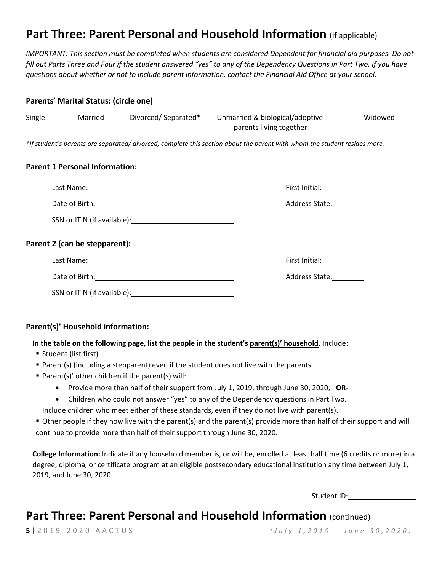# **Part Three: Parent Personal and Household Information** (if applicable)

*IMPORTANT: This section must be completed when students are considered Dependent for financial aid purposes. Do not fill out Parts Three and Four if the student answered "yes" to any of the Dependency Questions in Part Two. If you have questions about whether or not to include parent information, contact the Financial Aid Office at your school.*

#### **Parents' Marital Status: (circle one)**

| Single | Married | Divorced/Separated* | Unmarried & biological/adoptive | Widowed |
|--------|---------|---------------------|---------------------------------|---------|
|        |         |                     | parents living together         |         |

*\*If student's parents are separated/ divorced, complete this section about the parent with whom the student resides more.*

#### **Parent 1 Personal Information:**

|                                                       | First Initial: ___________ |
|-------------------------------------------------------|----------------------------|
|                                                       | Address State:             |
|                                                       |                            |
| Parent 2 (can be stepparent):                         |                            |
|                                                       | First Initial:             |
| Date of Birth: <u>_______________________________</u> | <b>Address State:</b>      |
| SSN or ITIN (if available):                           |                            |

### **Parent(s)' Household information:**

**In the table on the following page, list the people in the student's parent(s)' household.** Include:

- Student (list first)
- **Parent(s) (including a stepparent) even if the student does not live with the parents.**
- Parent(s)' other children if the parent(s) will:
	- Provide more than half of their support from July 1, 2019, through June 30, 2020, –**OR**-
	- Children who could not answer "yes" to any of the Dependency questions in Part Two.

Include children who meet either of these standards, even if they do not live with parent(s).

 Other people if they now live with the parent(s) and the parent(s) provide more than half of their support and will continue to provide more than half of their support through June 30, 2020.

**College Information:** Indicate if any household member is, or will be, enrolled at least half time (6 credits or more) in a degree, diploma, or certificate program at an eligible postsecondary educational institution any time between July 1, 2019, and June 30, 2020.

Student ID: Particular Product III

### **Part Three: Parent Personal and Household Information** (continued)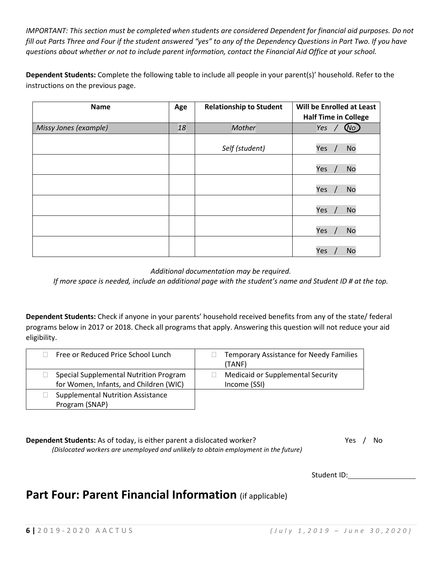*IMPORTANT: This section must be completed when students are considered Dependent for financial aid purposes. Do not fill out Parts Three and Four if the student answered "yes" to any of the Dependency Questions in Part Two. If you have questions about whether or not to include parent information, contact the Financial Aid Office at your school.*

**Dependent Students:** Complete the following table to include all people in your parent(s)' household. Refer to the instructions on the previous page.

| <b>Name</b>           | Age | <b>Relationship to Student</b> | Will be Enrolled at Least<br><b>Half Time in College</b> |
|-----------------------|-----|--------------------------------|----------------------------------------------------------|
| Missy Jones (example) | 18  | Mother                         | Yes<br>Wo.                                               |
|                       |     | Self (student)                 | Yes<br><b>No</b>                                         |
|                       |     |                                | Yes<br><b>No</b>                                         |
|                       |     |                                | Yes<br><b>No</b>                                         |
|                       |     |                                | Yes<br><b>No</b>                                         |
|                       |     |                                | Yes<br><b>No</b>                                         |
|                       |     |                                | <b>No</b><br>Yes                                         |

*Additional documentation may be required.*

*If more space is needed, include an additional page with the student's name and Student ID # at the top.*

**Dependent Students:** Check if anyone in your parents' household received benefits from any of the state/ federal programs below in 2017 or 2018. Check all programs that apply. Answering this question will not reduce your aid eligibility.

| Free or Reduced Price School Lunch                                               | <b>Temporary Assistance for Needy Families</b><br>(TANF) |
|----------------------------------------------------------------------------------|----------------------------------------------------------|
| Special Supplemental Nutrition Program<br>for Women, Infants, and Children (WIC) | <b>Medicaid or Supplemental Security</b><br>Income (SSI) |
| <b>Supplemental Nutrition Assistance</b>                                         |                                                          |
| Program (SNAP)                                                                   |                                                          |

**Dependent Students:** As of today, is either parent a dislocated worker? Yes / No *(Dislocated workers are unemployed and unlikely to obtain employment in the future)*

Student ID:

### **Part Four: Parent Financial Information** (if applicable)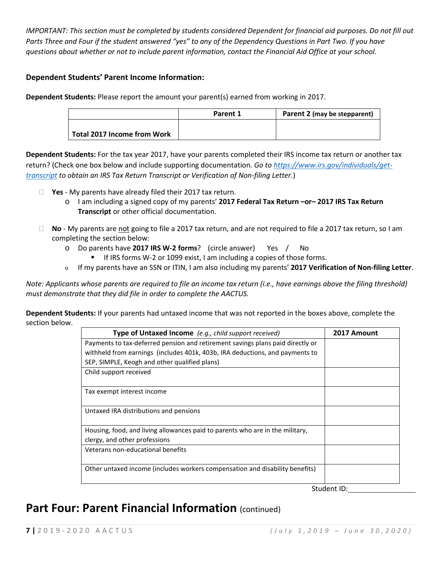*IMPORTANT: This section must be completed by students considered Dependent for financial aid purposes. Do not fill out Parts Three and Four if the student answered "yes" to any of the Dependency Questions in Part Two. If you have questions about whether or not to include parent information, contact the Financial Aid Office at your school.*

### **Dependent Students' Parent Income Information:**

**Dependent Students:** Please report the amount your parent(s) earned from working in 2017.

|                                    | Parent 1 | Parent 2 (may be stepparent) |
|------------------------------------|----------|------------------------------|
|                                    |          |                              |
| <b>Total 2017 Income from Work</b> |          |                              |

**Dependent Students:** For the tax year 2017, have your parents completed their IRS income tax return or another tax return? (Check one box below and include supporting documentation. *Go to [https://www.irs.gov/individuals/get](https://www.irs.gov/individuals/get-transcript)[transcript](https://www.irs.gov/individuals/get-transcript) to obtain an IRS Tax Return Transcript or Verification of Non-filing Letter.*)

- **Yes** My parents have already filed their 2017 tax return.
	- o I am including a signed copy of my parents' **2017 Federal Tax Return –or– 2017 IRS Tax Return Transcript** or other official documentation.
- □ No My parents are not going to file a 2017 tax return, and are not required to file a 2017 tax return, so I am completing the section below:
	- o Do parents have **2017 IRS W-2 forms**? (circle answer) Yes / No
		- If IRS forms W-2 or 1099 exist, I am including a copies of those forms.
	- <sup>o</sup> If my parents have an SSN or ITIN, I am also including my parents' **2017 Verification of Non-filing Letter**.

*Note: Applicants whose parents are required to file an income tax return (i.e., have earnings above the filing threshold) must demonstrate that they did file in order to complete the AACTUS.*

**Dependent Students:** If your parents had untaxed income that was not reported in the boxes above, complete the section below.

| Type of Untaxed Income (e.g., child support received)                          | 2017 Amount     |
|--------------------------------------------------------------------------------|-----------------|
| Payments to tax-deferred pension and retirement savings plans paid directly or |                 |
| withheld from earnings (includes 401k, 403b, IRA deductions, and payments to   |                 |
| SEP, SIMPLE, Keogh and other qualified plans)                                  |                 |
| Child support received                                                         |                 |
|                                                                                |                 |
| Tax exempt interest income                                                     |                 |
|                                                                                |                 |
| Untaxed IRA distributions and pensions                                         |                 |
|                                                                                |                 |
| Housing, food, and living allowances paid to parents who are in the military,  |                 |
| clergy, and other professions                                                  |                 |
| Veterans non-educational benefits                                              |                 |
|                                                                                |                 |
| Other untaxed income (includes workers compensation and disability benefits)   |                 |
|                                                                                |                 |
|                                                                                | $C+11A0$ nt ID. |

Student ID:\_

### **Part Four: Parent Financial Information** (continued)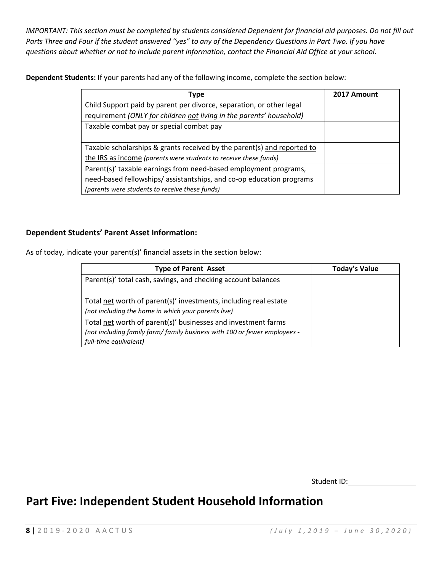*IMPORTANT: This section must be completed by students considered Dependent for financial aid purposes. Do not fill out Parts Three and Four if the student answered "yes" to any of the Dependency Questions in Part Two. If you have questions about whether or not to include parent information, contact the Financial Aid Office at your school.*

**Dependent Students:** If your parents had any of the following income, complete the section below:

| Type                                                                    | 2017 Amount |
|-------------------------------------------------------------------------|-------------|
| Child Support paid by parent per divorce, separation, or other legal    |             |
| requirement (ONLY for children not living in the parents' household)    |             |
| Taxable combat pay or special combat pay                                |             |
|                                                                         |             |
| Taxable scholarships & grants received by the parent(s) and reported to |             |
| the IRS as income (parents were students to receive these funds)        |             |
| Parent(s)' taxable earnings from need-based employment programs,        |             |
| need-based fellowships/assistantships, and co-op education programs     |             |
| (parents were students to receive these funds)                          |             |

#### **Dependent Students' Parent Asset Information:**

As of today, indicate your parent(s)' financial assets in the section below:

| <b>Type of Parent Asset</b>                                                                                                                                         | <b>Today's Value</b> |
|---------------------------------------------------------------------------------------------------------------------------------------------------------------------|----------------------|
| Parent(s)' total cash, savings, and checking account balances                                                                                                       |                      |
| Total net worth of parent(s)' investments, including real estate<br>(not including the home in which your parents live)                                             |                      |
| Total net worth of parent(s)' businesses and investment farms<br>(not including family farm/ family business with 100 or fewer employees -<br>full-time equivalent) |                      |

Student ID:

# **Part Five: Independent Student Household Information**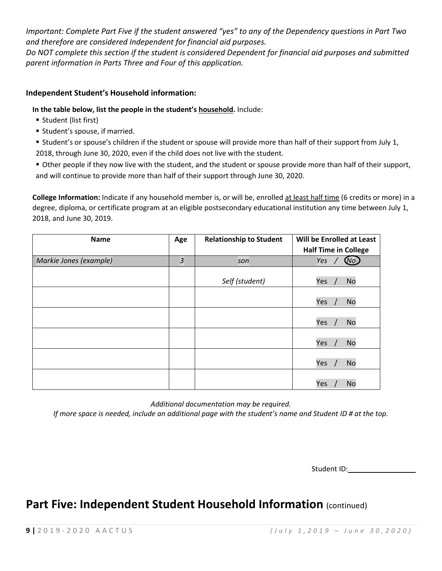*Important: Complete Part Five if the student answered "yes" to any of the Dependency questions in Part Two and therefore are considered Independent for financial aid purposes.*

*Do NOT complete this section if the student is considered Dependent for financial aid purposes and submitted parent information in Parts Three and Four of this application.*

### **Independent Student's Household information:**

**In the table below, list the people in the student's household.** Include:

- Student (list first)
- **Student's spouse, if married.**

 Student's or spouse's children if the student or spouse will provide more than half of their support from July 1, 2018, through June 30, 2020, even if the child does not live with the student.

 Other people if they now live with the student, and the student or spouse provide more than half of their support, and will continue to provide more than half of their support through June 30, 2020.

College Information: Indicate if any household member is, or will be, enrolled at least half time (6 credits or more) in a degree, diploma, or certificate program at an eligible postsecondary educational institution any time between July 1, 2018, and June 30, 2019.

| <b>Name</b>            | Age | <b>Relationship to Student</b> | Will be Enrolled at Least   |
|------------------------|-----|--------------------------------|-----------------------------|
|                        |     |                                | <b>Half Time in College</b> |
| Markie Jones (example) | 3   | son                            | $\omega$<br>Yes             |
|                        |     | Self (student)                 | Yes<br><b>No</b>            |
|                        |     |                                | Yes<br><b>No</b>            |
|                        |     |                                | Yes<br><b>No</b>            |
|                        |     |                                | Yes<br><b>No</b>            |
|                        |     |                                | Yes<br><b>No</b>            |
|                        |     |                                | Yes<br>No                   |

*Additional documentation may be required.*

*If more space is needed, include an additional page with the student's name and Student ID # at the top.*

Student ID:\_\_\_\_\_\_

# **Part Five: Independent Student Household Information** (continued)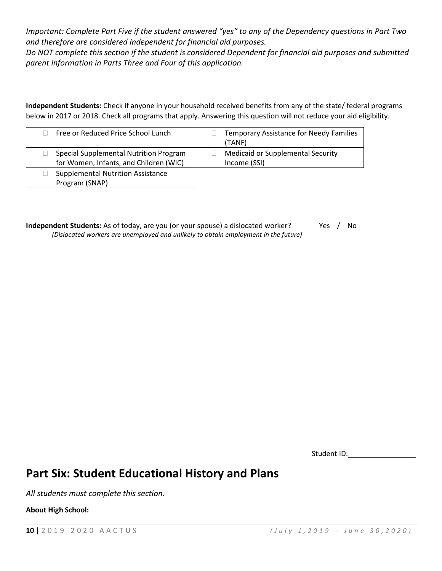*Important: Complete Part Five if the student answered "yes" to any of the Dependency questions in Part Two and therefore are considered Independent for financial aid purposes.*

*Do NOT complete this section if the student is considered Dependent for financial aid purposes and submitted parent information in Parts Three and Four of this application.*

**Independent Students:** Check if anyone in your household received benefits from any of the state/ federal programs below in 2017 or 2018. Check all programs that apply. Answering this question will not reduce your aid eligibility.

| Free or Reduced Price School Lunch                                               | Temporary Assistance for Needy Families<br>(TANF)        |
|----------------------------------------------------------------------------------|----------------------------------------------------------|
| Special Supplemental Nutrition Program<br>for Women, Infants, and Children (WIC) | <b>Medicaid or Supplemental Security</b><br>Income (SSI) |
| <b>Supplemental Nutrition Assistance</b><br>Program (SNAP)                       |                                                          |

**Independent Students:** As of today, are you (or your spouse) a dislocated worker? Yes / No *(Dislocated workers are unemployed and unlikely to obtain employment in the future)*

Student ID:

### **Part Six: Student Educational History and Plans**

*All students must complete this section.*

**About High School:**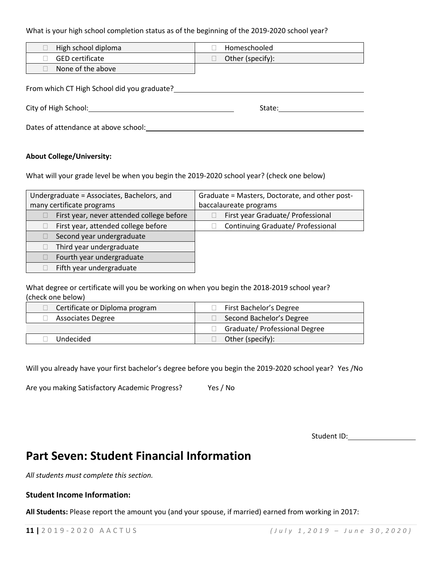What is your high school completion status as of the beginning of the 2019-2020 school year?

| High school diploma    | Homeschooled     |
|------------------------|------------------|
| <b>GED certificate</b> | Other (specify): |
| None of the above      |                  |

From which CT High School did you graduate?<br>
The same set of the set of the set of the set of the set of the set of the set of the set of the set of the s

City of High School: State: State: State: State: State: State: State: State: State: State: State: State: State: State: State: State: State: State: State: State: State: State: State: State: State: State: State: State: State

Dates of attendance at above school:

#### **About College/University:**

What will your grade level be when you begin the 2019-2020 school year? (check one below)

| Undergraduate = Associates, Bachelors, and | Graduate = Masters, Doctorate, and other post- |
|--------------------------------------------|------------------------------------------------|
| many certificate programs                  | baccalaureate programs                         |
| First year, never attended college before  | First year Graduate/ Professional              |
| First year, attended college before        | Continuing Graduate/ Professional              |
| Second year undergraduate                  |                                                |
| Third year undergraduate                   |                                                |
| Fourth year undergraduate                  |                                                |
| Fifth year undergraduate                   |                                                |

What degree or certificate will you be working on when you begin the 2018-2019 school year? (check one below)

| Certificate or Diploma program | First Bachelor's Degree       |
|--------------------------------|-------------------------------|
| <b>Associates Degree</b>       | Second Bachelor's Degree      |
|                                | Graduate/ Professional Degree |
| Undecided                      | Other (specify):              |

Will you already have your first bachelor's degree before you begin the 2019-2020 school year? Yes /No

Are you making Satisfactory Academic Progress? Yes / No

Student ID: 2000

# **Part Seven: Student Financial Information**

*All students must complete this section.*

### **Student Income Information:**

**All Students:** Please report the amount you (and your spouse, if married) earned from working in 2017: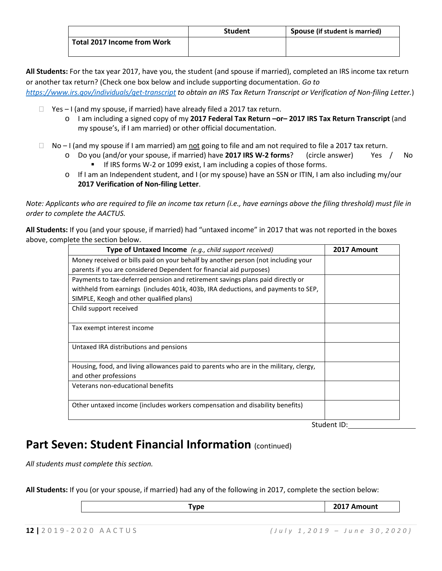|                             | <b>Student</b> | Spouse (if student is married) |
|-----------------------------|----------------|--------------------------------|
| Total 2017 Income from Work |                |                                |

**All Students:** For the tax year 2017, have you, the student (and spouse if married), completed an IRS income tax return or another tax return? (Check one box below and include supporting documentation. *Go to* 

*<https://www.irs.gov/individuals/get-transcript> to obtain an IRS Tax Return Transcript or Verification of Non-filing Letter.*)

- $\Box$  Yes I (and my spouse, if married) have already filed a 2017 tax return.
	- o I am including a signed copy of my **2017 Federal Tax Return –or– 2017 IRS Tax Return Transcript** (and my spouse's, if I am married) or other official documentation.
- $\Box$  No I (and my spouse if I am married) am not going to file and am not required to file a 2017 tax return.
	- o Do you (and/or your spouse, if married) have **2017 IRS W-2 forms**? (circle answer) Yes / No If IRS forms W-2 or 1099 exist, I am including a copies of those forms.
	- o If I am an Independent student, and I (or my spouse) have an SSN or ITIN, I am also including my/our **2017 Verification of Non-filing Letter**.

*Note: Applicants who are required to file an income tax return (i.e., have earnings above the filing threshold) must file in order to complete the AACTUS.*

**All Students:** If you (and your spouse, if married) had "untaxed income" in 2017 that was not reported in the boxes above, complete the section below.

| Type of Untaxed Income (e.g., child support received)                                 | 2017 Amount |
|---------------------------------------------------------------------------------------|-------------|
| Money received or bills paid on your behalf by another person (not including your     |             |
| parents if you are considered Dependent for financial aid purposes)                   |             |
| Payments to tax-deferred pension and retirement savings plans paid directly or        |             |
| withheld from earnings (includes 401k, 403b, IRA deductions, and payments to SEP,     |             |
| SIMPLE, Keogh and other qualified plans)                                              |             |
| Child support received                                                                |             |
| Tax exempt interest income                                                            |             |
| Untaxed IRA distributions and pensions                                                |             |
| Housing, food, and living allowances paid to parents who are in the military, clergy, |             |
| and other professions                                                                 |             |
| Veterans non-educational benefits                                                     |             |
| Other untaxed income (includes workers compensation and disability benefits)          |             |

Student ID:

# Part Seven: Student Financial Information (continued)

*All students must complete this section.*

**All Students:** If you (or your spouse, if married) had any of the following in 2017, complete the section below:

| <b>MAC</b> | יטוונ<br>LUIT NUI |
|------------|-------------------|
|            |                   |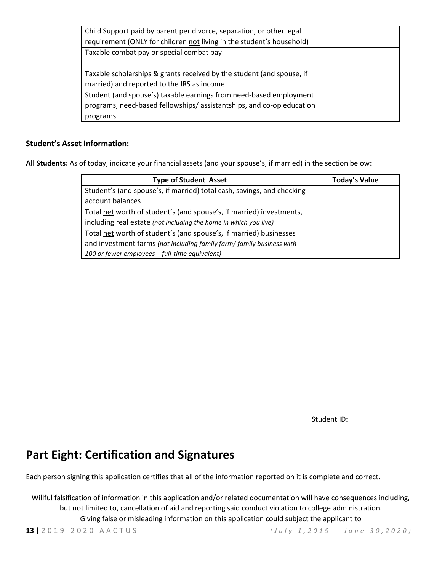| Child Support paid by parent per divorce, separation, or other legal  |  |
|-----------------------------------------------------------------------|--|
| requirement (ONLY for children not living in the student's household) |  |
| Taxable combat pay or special combat pay                              |  |
|                                                                       |  |
| Taxable scholarships & grants received by the student (and spouse, if |  |
| married) and reported to the IRS as income                            |  |
| Student (and spouse's) taxable earnings from need-based employment    |  |
| programs, need-based fellowships/assistantships, and co-op education  |  |
| programs                                                              |  |

### **Student's Asset Information:**

**All Students:** As of today, indicate your financial assets (and your spouse's, if married) in the section below:

| <b>Type of Student Asset</b>                                           | <b>Today's Value</b> |
|------------------------------------------------------------------------|----------------------|
| Student's (and spouse's, if married) total cash, savings, and checking |                      |
| account balances                                                       |                      |
| Total net worth of student's (and spouse's, if married) investments,   |                      |
| including real estate (not including the home in which you live)       |                      |
| Total net worth of student's (and spouse's, if married) businesses     |                      |
| and investment farms (not including family farm/ family business with  |                      |
| 100 or fewer employees - full-time equivalent)                         |                      |

Student ID:

### **Part Eight: Certification and Signatures**

Each person signing this application certifies that all of the information reported on it is complete and correct.

Willful falsification of information in this application and/or related documentation will have consequences including, but not limited to, cancellation of aid and reporting said conduct violation to college administration. Giving false or misleading information on this application could subject the applicant to